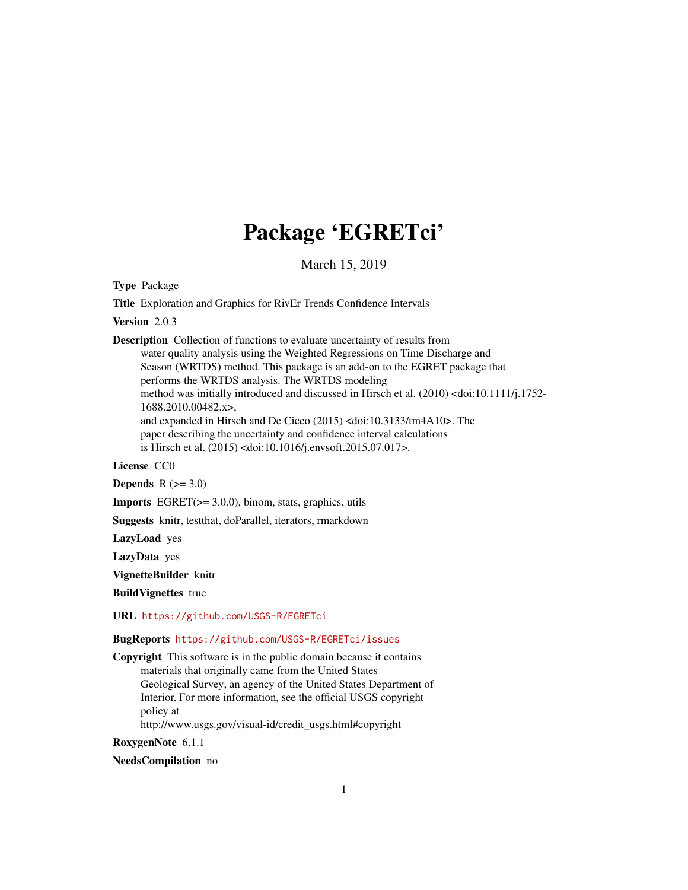# Package 'EGRETci'

March 15, 2019

<span id="page-0-0"></span>Type Package

Title Exploration and Graphics for RivEr Trends Confidence Intervals

Version 2.0.3

Description Collection of functions to evaluate uncertainty of results from water quality analysis using the Weighted Regressions on Time Discharge and Season (WRTDS) method. This package is an add-on to the EGRET package that performs the WRTDS analysis. The WRTDS modeling method was initially introduced and discussed in Hirsch et al. (2010) <doi:10.1111/j.1752- 1688.2010.00482.x>, and expanded in Hirsch and De Cicco (2015) <doi:10.3133/tm4A10>. The paper describing the uncertainty and confidence interval calculations is Hirsch et al. (2015) <doi:10.1016/j.envsoft.2015.07.017>.

#### License CC0

**Depends**  $R$  ( $>= 3.0$ )

Imports EGRET(>= 3.0.0), binom, stats, graphics, utils

Suggests knitr, testthat, doParallel, iterators, rmarkdown

LazyLoad yes

LazyData yes

VignetteBuilder knitr

BuildVignettes true

URL <https://github.com/USGS-R/EGRETci>

#### BugReports <https://github.com/USGS-R/EGRETci/issues>

Copyright This software is in the public domain because it contains materials that originally came from the United States Geological Survey, an agency of the United States Department of Interior. For more information, see the official USGS copyright policy at http://www.usgs.gov/visual-id/credit\_usgs.html#copyright

RoxygenNote 6.1.1

NeedsCompilation no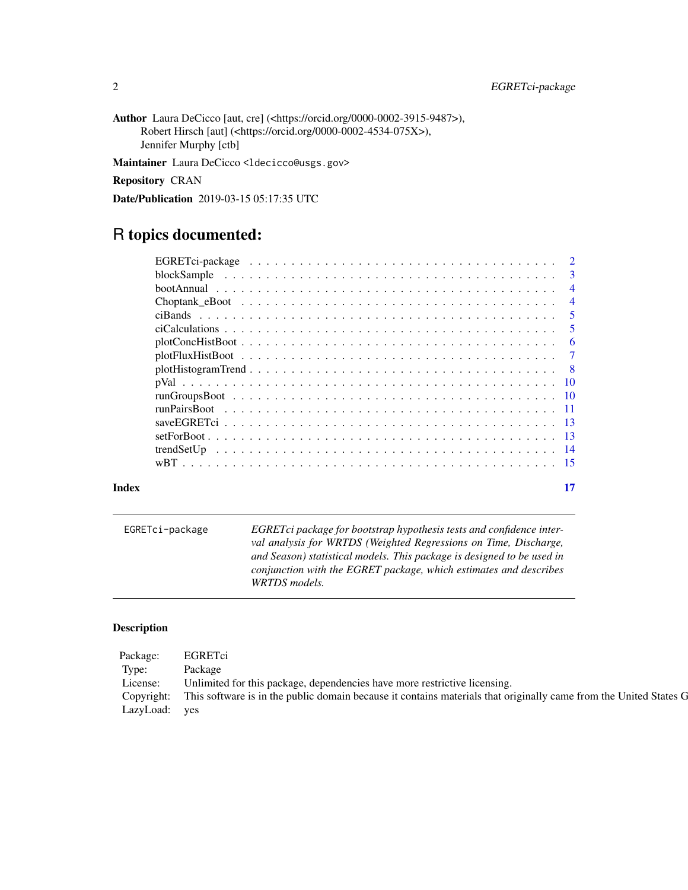Author Laura DeCicco [aut, cre] (<https://orcid.org/0000-0002-3915-9487>), Robert Hirsch [aut] (<https://orcid.org/0000-0002-4534-075X>), Jennifer Murphy [ctb]

Maintainer Laura DeCicco <ldecicco@usgs.gov>

Repository CRAN

Date/Publication 2019-03-15 05:17:35 UTC

# R topics documented:

| Index | 17             |
|-------|----------------|
|       |                |
|       |                |
|       |                |
|       |                |
|       |                |
|       |                |
|       |                |
|       |                |
|       |                |
|       |                |
|       |                |
|       |                |
|       | $\overline{4}$ |
|       | $\overline{4}$ |
|       |                |
|       |                |

EGRETci-package *EGRETci package for bootstrap hypothesis tests and confidence interval analysis for WRTDS (Weighted Regressions on Time, Discharge, and Season) statistical models. This package is designed to be used in conjunction with the EGRET package, which estimates and describes WRTDS models.*

# Description

| Package:      | EGRETci                                                                                                                      |
|---------------|------------------------------------------------------------------------------------------------------------------------------|
| Type:         | Package                                                                                                                      |
| License:      | Unlimited for this package, dependencies have more restrictive licensing.                                                    |
|               | Copyright: This software is in the public domain because it contains materials that originally came from the United States G |
| LazyLoad: yes |                                                                                                                              |

<span id="page-1-0"></span>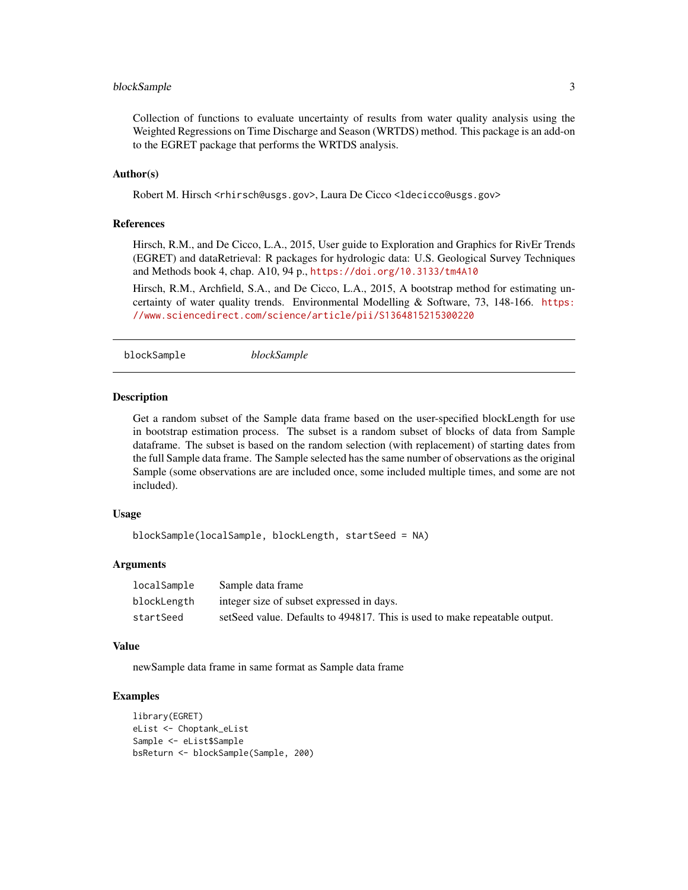# <span id="page-2-0"></span>blockSample 3

Collection of functions to evaluate uncertainty of results from water quality analysis using the Weighted Regressions on Time Discharge and Season (WRTDS) method. This package is an add-on to the EGRET package that performs the WRTDS analysis.

### Author(s)

Robert M. Hirsch <rhirsch@usgs.gov>, Laura De Cicco <ldecicco@usgs.gov>

# References

Hirsch, R.M., and De Cicco, L.A., 2015, User guide to Exploration and Graphics for RivEr Trends (EGRET) and dataRetrieval: R packages for hydrologic data: U.S. Geological Survey Techniques and Methods book 4, chap. A10, 94 p., <https://doi.org/10.3133/tm4A10>

Hirsch, R.M., Archfield, S.A., and De Cicco, L.A., 2015, A bootstrap method for estimating uncertainty of water quality trends. Environmental Modelling & Software, 73, 148-166. [https:](https://www.sciencedirect.com/science/article/pii/S1364815215300220) [//www.sciencedirect.com/science/article/pii/S1364815215300220](https://www.sciencedirect.com/science/article/pii/S1364815215300220)

blockSample *blockSample*

#### Description

Get a random subset of the Sample data frame based on the user-specified blockLength for use in bootstrap estimation process. The subset is a random subset of blocks of data from Sample dataframe. The subset is based on the random selection (with replacement) of starting dates from the full Sample data frame. The Sample selected has the same number of observations as the original Sample (some observations are are included once, some included multiple times, and some are not included).

#### Usage

```
blockSample(localSample, blockLength, startSeed = NA)
```
#### Arguments

| localSample | Sample data frame                                                          |
|-------------|----------------------------------------------------------------------------|
| blockLength | integer size of subset expressed in days.                                  |
| startSeed   | setSeed value. Defaults to 494817. This is used to make repeatable output. |

#### Value

newSample data frame in same format as Sample data frame

#### Examples

```
library(EGRET)
eList <- Choptank_eList
Sample <- eList$Sample
bsReturn <- blockSample(Sample, 200)
```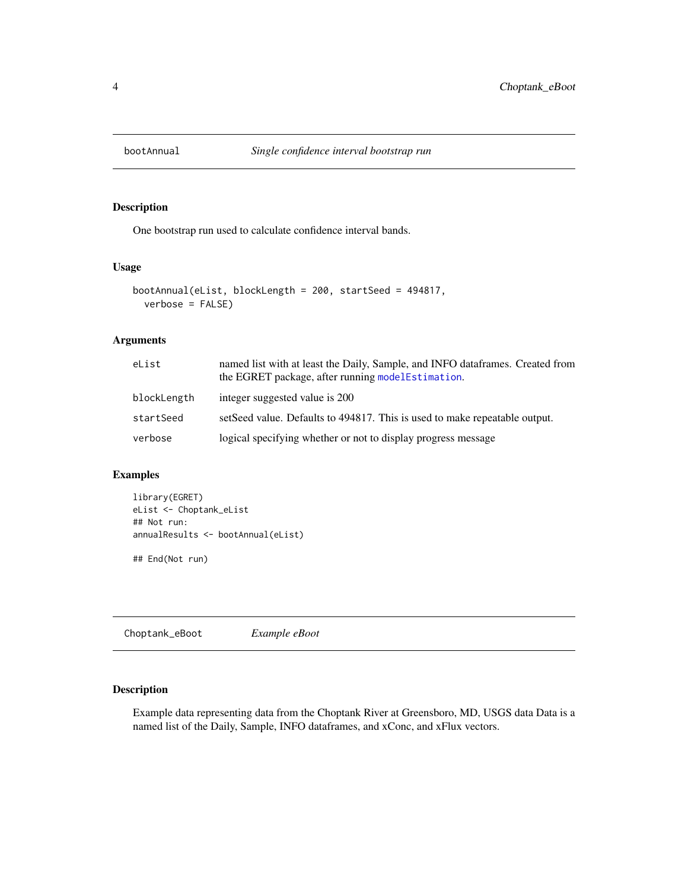<span id="page-3-0"></span>

# Description

One bootstrap run used to calculate confidence interval bands.

# Usage

```
bootAnnual(eList, blockLength = 200, startSeed = 494817,
  verbose = FALSE)
```
# Arguments

| eList       | named list with at least the Daily, Sample, and INFO dataframes. Created from<br>the EGRET package, after running modelEstimation. |
|-------------|------------------------------------------------------------------------------------------------------------------------------------|
| blockLength | integer suggested value is 200                                                                                                     |
| startSeed   | setSeed value. Defaults to 494817. This is used to make repeatable output.                                                         |
| verbose     | logical specifying whether or not to display progress message                                                                      |

# Examples

library(EGRET) eList <- Choptank\_eList ## Not run: annualResults <- bootAnnual(eList)

## End(Not run)

Choptank\_eBoot *Example eBoot*

# Description

Example data representing data from the Choptank River at Greensboro, MD, USGS data Data is a named list of the Daily, Sample, INFO dataframes, and xConc, and xFlux vectors.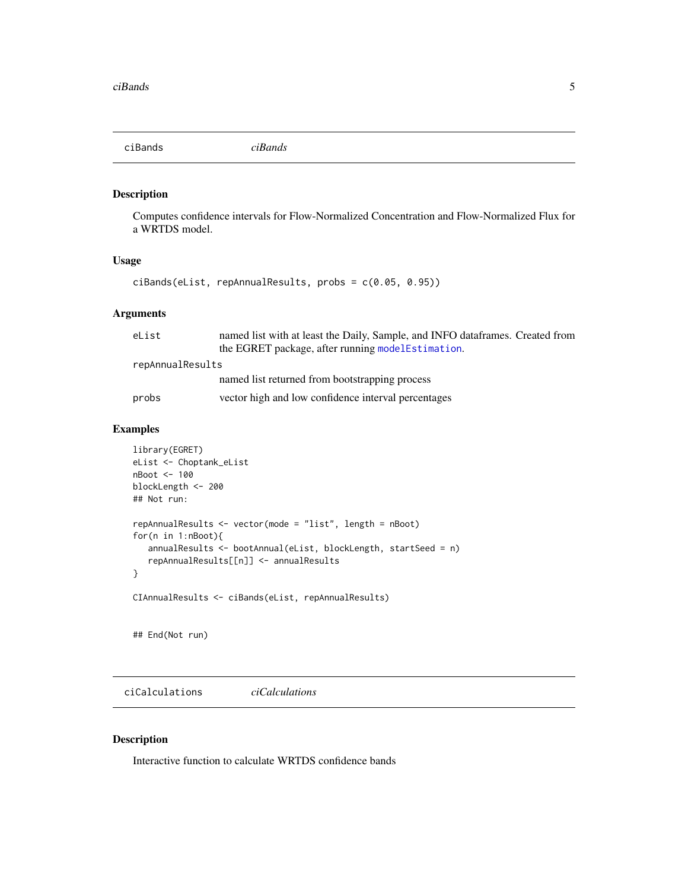<span id="page-4-0"></span>ciBands *ciBands*

### Description

Computes confidence intervals for Flow-Normalized Concentration and Flow-Normalized Flux for a WRTDS model.

# Usage

```
ciBands(eList, repAnnualResults, probs = c(0.05, 0.95))
```
# Arguments

| eList            | named list with at least the Daily, Sample, and INFO dataframes. Created from |
|------------------|-------------------------------------------------------------------------------|
|                  | the EGRET package, after running model Estimation.                            |
| repAnnualResults |                                                                               |
|                  | named list returned from bootstrapping process                                |
| probs            | vector high and low confidence interval percentages                           |

### Examples

```
library(EGRET)
eList <- Choptank_eList
nBoot <- 100
blockLength <- 200
## Not run:
repAnnualResults <- vector(mode = "list", length = nBoot)
for(n in 1:nBoot){
   annualResults <- bootAnnual(eList, blockLength, startSeed = n)
   repAnnualResults[[n]] <- annualResults
}
CIAnnualResults <- ciBands(eList, repAnnualResults)
```
## End(Not run)

ciCalculations *ciCalculations*

#### Description

Interactive function to calculate WRTDS confidence bands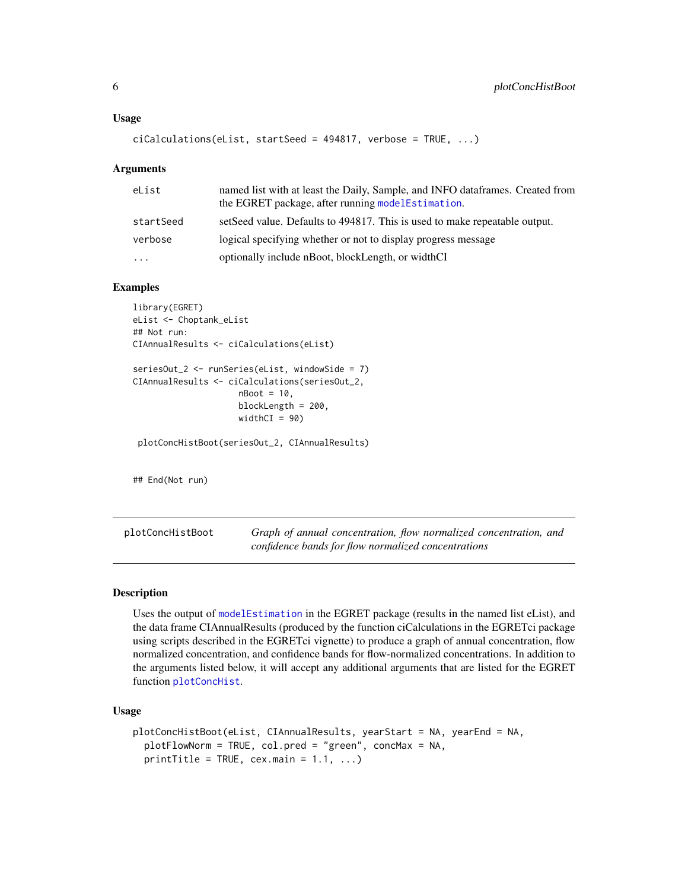```
ciCalculations(eList, startSeed = 494817, verbose = TRUE, ...)
```
#### Arguments

| eList     | named list with at least the Daily, Sample, and INFO data frames. Created from<br>the EGRET package, after running model Estimation. |
|-----------|--------------------------------------------------------------------------------------------------------------------------------------|
| startSeed | setSeed value. Defaults to 494817. This is used to make repeatable output.                                                           |
| verbose   | logical specifying whether or not to display progress message                                                                        |
| $\ddots$  | optionally include nBoot, blockLength, or widthCI                                                                                    |

#### Examples

```
library(EGRET)
eList <- Choptank_eList
## Not run:
CIAnnualResults <- ciCalculations(eList)
```

```
seriesOut_2 <- runSeries(eList, windowSide = 7)
CIAnnualResults <- ciCalculations(seriesOut_2,
                     nBoot = 10,
                     blockLength = 200,
                     widthCI = 90)
```
plotConcHistBoot(seriesOut\_2, CIAnnualResults)

## End(Not run)

plotConcHistBoot *Graph of annual concentration, flow normalized concentration, and confidence bands for flow normalized concentrations*

#### Description

Uses the output of [modelEstimation](#page-0-0) in the EGRET package (results in the named list eList), and the data frame CIAnnualResults (produced by the function ciCalculations in the EGRETci package using scripts described in the EGRETci vignette) to produce a graph of annual concentration, flow normalized concentration, and confidence bands for flow-normalized concentrations. In addition to the arguments listed below, it will accept any additional arguments that are listed for the EGRET function [plotConcHist](#page-0-0).

#### Usage

```
plotConcHistBoot(eList, CIAnnualResults, yearStart = NA, yearEnd = NA,
  plotFlowNorm = TRUE, col.pred = "green", concMax = NA,
  printTitle = TRUE, cex.mainloop = 1.1, ...
```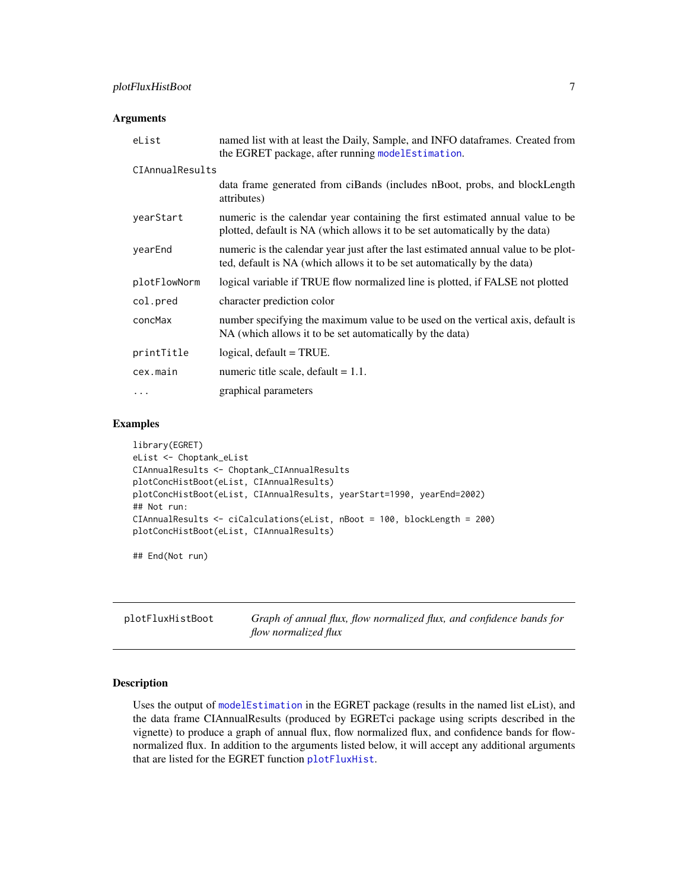#### <span id="page-6-0"></span>**Arguments**

| eList           | named list with at least the Daily, Sample, and INFO dataframes. Created from<br>the EGRET package, after running modelEstimation.                              |
|-----------------|-----------------------------------------------------------------------------------------------------------------------------------------------------------------|
| CIAnnualResults |                                                                                                                                                                 |
|                 | data frame generated from ciBands (includes nBoot, probs, and blockLength<br>attributes)                                                                        |
| yearStart       | numeric is the calendar year containing the first estimated annual value to be<br>plotted, default is NA (which allows it to be set automatically by the data)  |
| yearEnd         | numeric is the calendar year just after the last estimated annual value to be plot-<br>ted, default is NA (which allows it to be set automatically by the data) |
| plotFlowNorm    | logical variable if TRUE flow normalized line is plotted, if FALSE not plotted                                                                                  |
| col.pred        | character prediction color                                                                                                                                      |
| concMax         | number specifying the maximum value to be used on the vertical axis, default is<br>NA (which allows it to be set automatically by the data)                     |
| printTitle      | $logical, default = TRUE.$                                                                                                                                      |
| cex.main        | numeric title scale, default $= 1.1$ .                                                                                                                          |
| $\ddots$ .      | graphical parameters                                                                                                                                            |

#### Examples

```
library(EGRET)
eList <- Choptank_eList
CIAnnualResults <- Choptank_CIAnnualResults
plotConcHistBoot(eList, CIAnnualResults)
plotConcHistBoot(eList, CIAnnualResults, yearStart=1990, yearEnd=2002)
## Not run:
CIAnnualResults <- ciCalculations(eList, nBoot = 100, blockLength = 200)
plotConcHistBoot(eList, CIAnnualResults)
```
## End(Not run)

plotFluxHistBoot *Graph of annual flux, flow normalized flux, and confidence bands for flow normalized flux*

# Description

Uses the output of [modelEstimation](#page-0-0) in the EGRET package (results in the named list eList), and the data frame CIAnnualResults (produced by EGRETci package using scripts described in the vignette) to produce a graph of annual flux, flow normalized flux, and confidence bands for flownormalized flux. In addition to the arguments listed below, it will accept any additional arguments that are listed for the EGRET function [plotFluxHist](#page-0-0).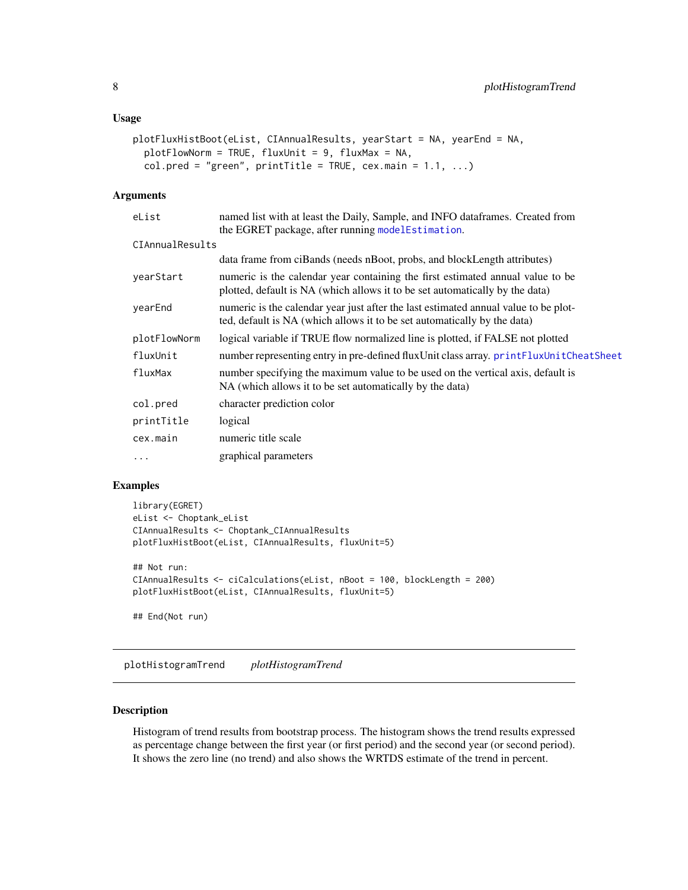#### <span id="page-7-0"></span>Usage

```
plotFluxHistBoot(eList, CIAnnualResults, yearStart = NA, yearEnd = NA,
  plotFlowNorm = TRUE, fluxUnit = 9, fluxMax = NA,
  col.pred = "green", printTitle = TRUE, cex.mainloop = 1.1, ...)
```
#### Arguments

| eList           | named list with at least the Daily, Sample, and INFO dataframes. Created from                                                                                   |
|-----------------|-----------------------------------------------------------------------------------------------------------------------------------------------------------------|
|                 | the EGRET package, after running modelEstimation.                                                                                                               |
| CIAnnualResults |                                                                                                                                                                 |
|                 | data frame from ciBands (needs nBoot, probs, and blockLength attributes)                                                                                        |
| yearStart       | numeric is the calendar year containing the first estimated annual value to be<br>plotted, default is NA (which allows it to be set automatically by the data)  |
| yearEnd         | numeric is the calendar year just after the last estimated annual value to be plot-<br>ted, default is NA (which allows it to be set automatically by the data) |
| plotFlowNorm    | logical variable if TRUE flow normalized line is plotted, if FALSE not plotted                                                                                  |
| fluxUnit        | number representing entry in pre-defined fluxUnit class array. printFluxUnitCheatSheet                                                                          |
| fluxMax         | number specifying the maximum value to be used on the vertical axis, default is<br>NA (which allows it to be set automatically by the data)                     |
| col.pred        | character prediction color                                                                                                                                      |
| printTitle      | logical                                                                                                                                                         |
| cex.main        | numeric title scale                                                                                                                                             |
| $\cdots$        | graphical parameters                                                                                                                                            |

# Examples

```
library(EGRET)
eList <- Choptank_eList
CIAnnualResults <- Choptank_CIAnnualResults
plotFluxHistBoot(eList, CIAnnualResults, fluxUnit=5)
## Not run:
CIAnnualResults <- ciCalculations(eList, nBoot = 100, blockLength = 200)
plotFluxHistBoot(eList, CIAnnualResults, fluxUnit=5)
## End(Not run)
```
plotHistogramTrend *plotHistogramTrend*

# **Description**

Histogram of trend results from bootstrap process. The histogram shows the trend results expressed as percentage change between the first year (or first period) and the second year (or second period). It shows the zero line (no trend) and also shows the WRTDS estimate of the trend in percent.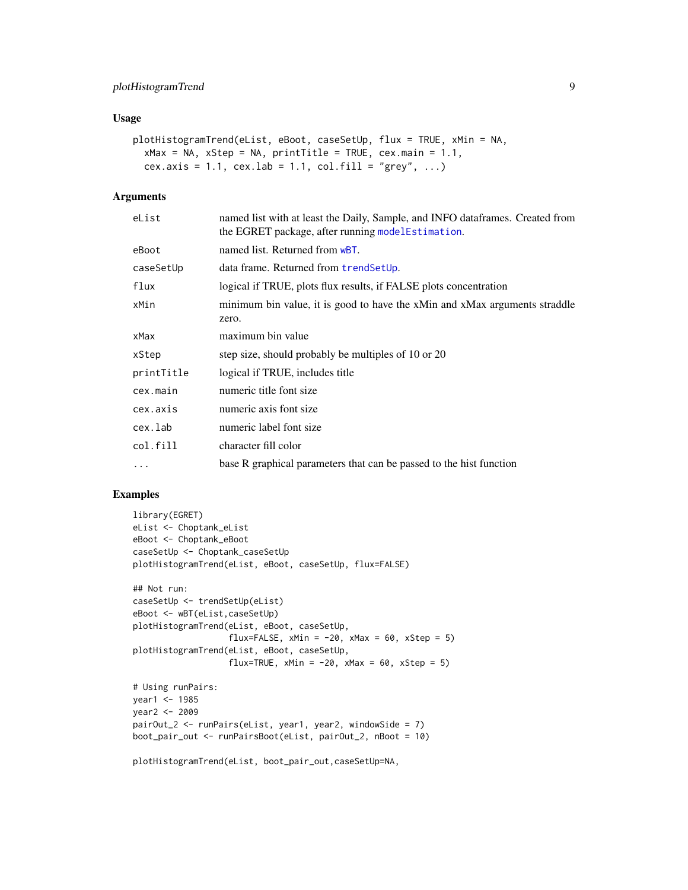# <span id="page-8-0"></span>plotHistogramTrend 9

# Usage

```
plotHistogramTrend(eList, eBoot, caseSetUp, flux = TRUE, xMin = NA,
  xMax = NA, xStep = NA, printTitle = TRUE, cex.main = 1.1,
  cex.axis = 1.1, cex.lab = 1.1, col.fill = "grey", ...)
```
# Arguments

| eList      | named list with at least the Daily, Sample, and INFO dataframes. Created from<br>the EGRET package, after running modelEstimation. |
|------------|------------------------------------------------------------------------------------------------------------------------------------|
| eBoot      | named list. Returned from wBT.                                                                                                     |
| caseSetUp  | data frame. Returned from trendSetUp.                                                                                              |
| flux       | logical if TRUE, plots flux results, if FALSE plots concentration                                                                  |
| xMin       | minimum bin value, it is good to have the xMin and xMax arguments straddle<br>zero.                                                |
| xMax       | maximum bin value                                                                                                                  |
| xStep      | step size, should probably be multiples of 10 or 20                                                                                |
| printTitle | logical if TRUE, includes title                                                                                                    |
| cex.main   | numeric title font size                                                                                                            |
| cex.axis   | numeric axis font size                                                                                                             |
| cex.lab    | numeric label font size                                                                                                            |
| col.fill   | character fill color                                                                                                               |
| $\cdots$   | base R graphical parameters that can be passed to the hist function                                                                |
|            |                                                                                                                                    |

# Examples

```
library(EGRET)
eList <- Choptank_eList
eBoot <- Choptank_eBoot
caseSetUp <- Choptank_caseSetUp
plotHistogramTrend(eList, eBoot, caseSetUp, flux=FALSE)
## Not run:
caseSetUp <- trendSetUp(eList)
eBoot <- wBT(eList,caseSetUp)
plotHistogramTrend(eList, eBoot, caseSetUp,
                   flux=FALSE, xMin = -20, xMax = 60, xStep = 5)
plotHistogramTrend(eList, eBoot, caseSetUp,
                  flux=TRUE, xMin = -20, xMax = 60, xStep = 5)
# Using runPairs:
year1 <- 1985
year2 <- 2009
pairOut_2 <- runPairs(eList, year1, year2, windowSide = 7)
boot_pair_out <- runPairsBoot(eList, pairOut_2, nBoot = 10)
```
plotHistogramTrend(eList, boot\_pair\_out,caseSetUp=NA,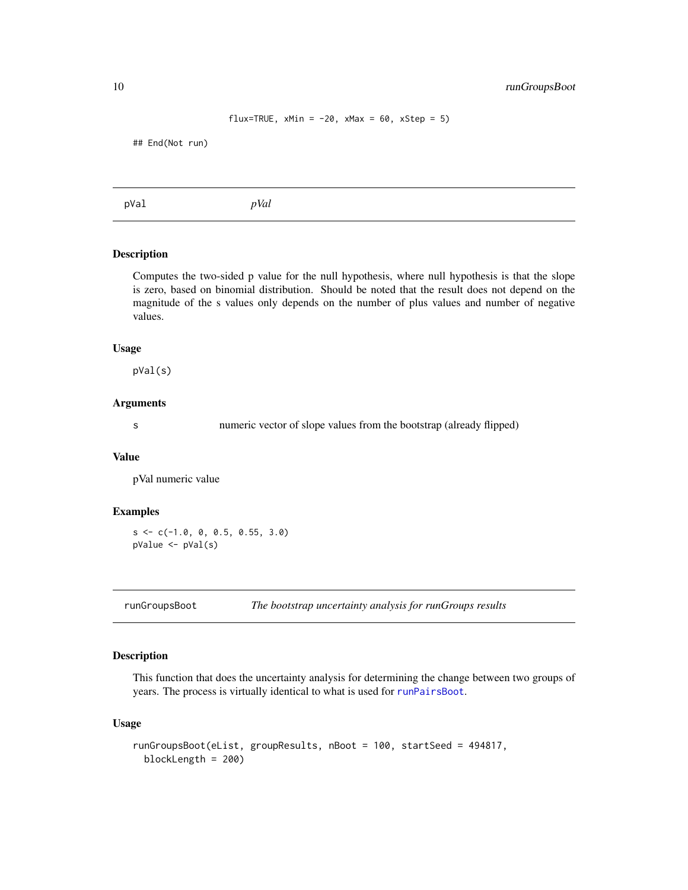```
flux=TRUE, xMin = -20, xMax = 60, xStep = 5)
```
<span id="page-9-0"></span>## End(Not run)

pVal *pVal*

# Description

Computes the two-sided p value for the null hypothesis, where null hypothesis is that the slope is zero, based on binomial distribution. Should be noted that the result does not depend on the magnitude of the s values only depends on the number of plus values and number of negative values.

#### Usage

pVal(s)

#### Arguments

s numeric vector of slope values from the bootstrap (already flipped)

#### Value

pVal numeric value

#### Examples

 $s \leq c(-1.0, 0, 0.5, 0.55, 3.0)$ pValue <- pVal(s)

<span id="page-9-1"></span>runGroupsBoot *The bootstrap uncertainty analysis for runGroups results*

# Description

This function that does the uncertainty analysis for determining the change between two groups of years. The process is virtually identical to what is used for [runPairsBoot](#page-10-1).

#### Usage

```
runGroupsBoot(eList, groupResults, nBoot = 100, startSeed = 494817,
 blockLength = 200)
```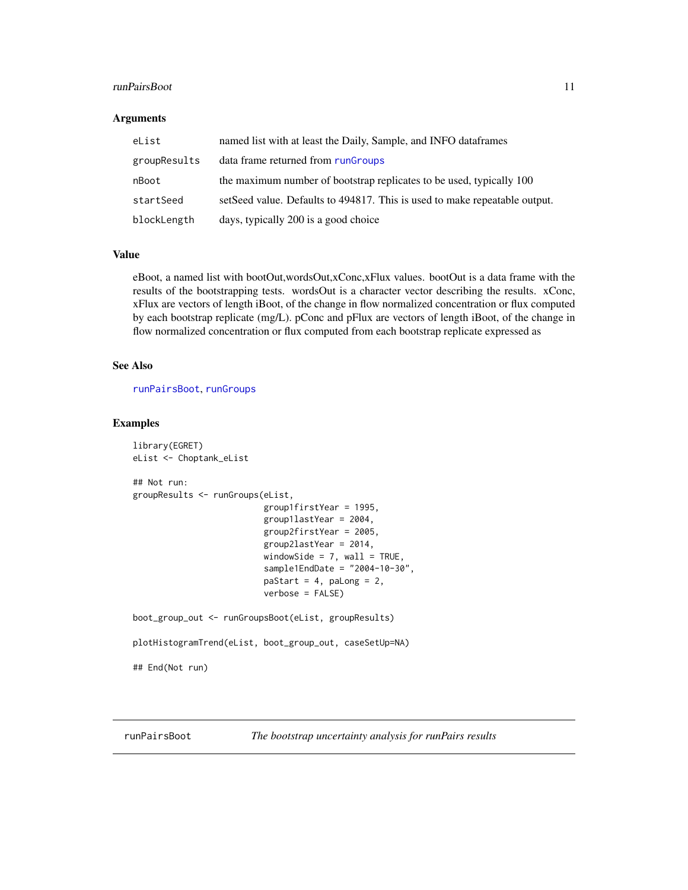#### <span id="page-10-0"></span>runPairsBoot 11

#### **Arguments**

| eList        | named list with at least the Daily, Sample, and INFO dataframes             |
|--------------|-----------------------------------------------------------------------------|
| groupResults | data frame returned from rungroups                                          |
| nBoot        | the maximum number of bootstrap replicates to be used, typically 100        |
| startSeed    | set Seed value. Defaults to 494817. This is used to make repeatable output. |
| blockLength  | days, typically 200 is a good choice                                        |

### Value

eBoot, a named list with bootOut,wordsOut,xConc,xFlux values. bootOut is a data frame with the results of the bootstrapping tests. wordsOut is a character vector describing the results. xConc, xFlux are vectors of length iBoot, of the change in flow normalized concentration or flux computed by each bootstrap replicate (mg/L). pConc and pFlux are vectors of length iBoot, of the change in flow normalized concentration or flux computed from each bootstrap replicate expressed as

# See Also

[runPairsBoot](#page-10-1), [runGroups](#page-0-0)

#### Examples

```
library(EGRET)
eList <- Choptank_eList
## Not run:
groupResults <- runGroups(eList,
                          group1firstYear = 1995,
                          group1lastYear = 2004,
                          group2firstYear = 2005,
                          group2lastYear = 2014,
                          windowSide = 7, wall = TRUE,
                          sample1EndDate = "2004-10-30",
                          paStart = 4, paLong = 2,
                          verbose = FALSE)
boot_group_out <- runGroupsBoot(eList, groupResults)
plotHistogramTrend(eList, boot_group_out, caseSetUp=NA)
## End(Not run)
```
<span id="page-10-1"></span>runPairsBoot *The bootstrap uncertainty analysis for runPairs results*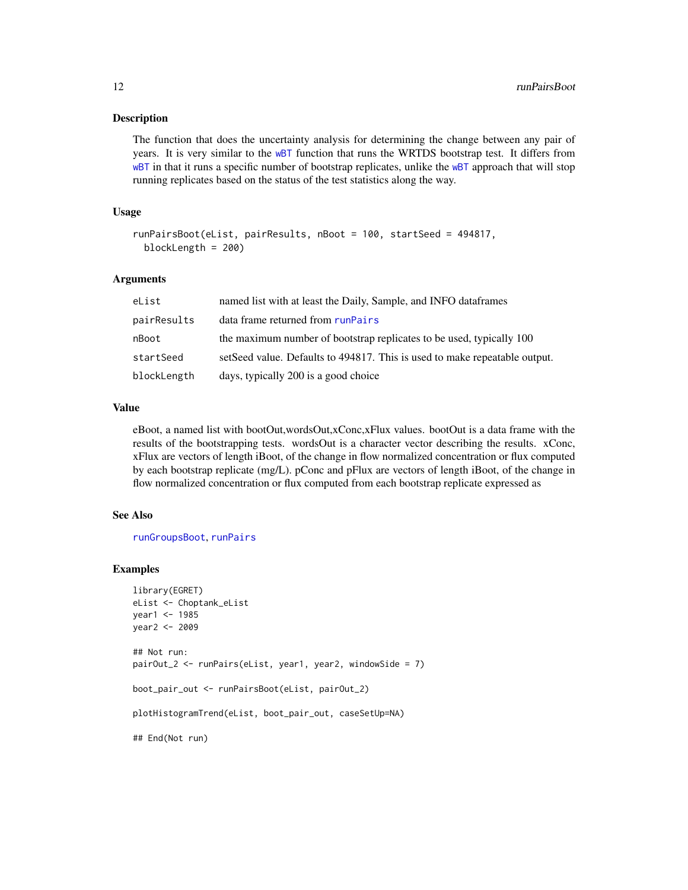#### <span id="page-11-0"></span>**Description**

The function that does the uncertainty analysis for determining the change between any pair of years. It is very similar to the [wBT](#page-14-1) function that runs the WRTDS bootstrap test. It differs from [wBT](#page-14-1) in that it runs a specific number of bootstrap replicates, unlike the wBT approach that will stop running replicates based on the status of the test statistics along the way.

#### Usage

```
runPairsBoot(eList, pairResults, nBoot = 100, startSeed = 494817,
 blockLength = 200)
```
#### Arguments

| eList       | named list with at least the Daily, Sample, and INFO dataframes            |
|-------------|----------------------------------------------------------------------------|
| pairResults | data frame returned from runPairs                                          |
| nBoot       | the maximum number of bootstrap replicates to be used, typically 100       |
| startSeed   | setSeed value. Defaults to 494817. This is used to make repeatable output. |
| blockLength | days, typically 200 is a good choice                                       |

### Value

eBoot, a named list with bootOut,wordsOut,xConc,xFlux values. bootOut is a data frame with the results of the bootstrapping tests. wordsOut is a character vector describing the results. xConc, xFlux are vectors of length iBoot, of the change in flow normalized concentration or flux computed by each bootstrap replicate (mg/L). pConc and pFlux are vectors of length iBoot, of the change in flow normalized concentration or flux computed from each bootstrap replicate expressed as

#### See Also

[runGroupsBoot](#page-9-1), [runPairs](#page-0-0)

#### Examples

```
library(EGRET)
eList <- Choptank_eList
year1 <- 1985
year2 <- 2009
## Not run:
pairOut_2 <- runPairs(eList, year1, year2, windowSide = 7)
boot_pair_out <- runPairsBoot(eList, pairOut_2)
plotHistogramTrend(eList, boot_pair_out, caseSetUp=NA)
## End(Not run)
```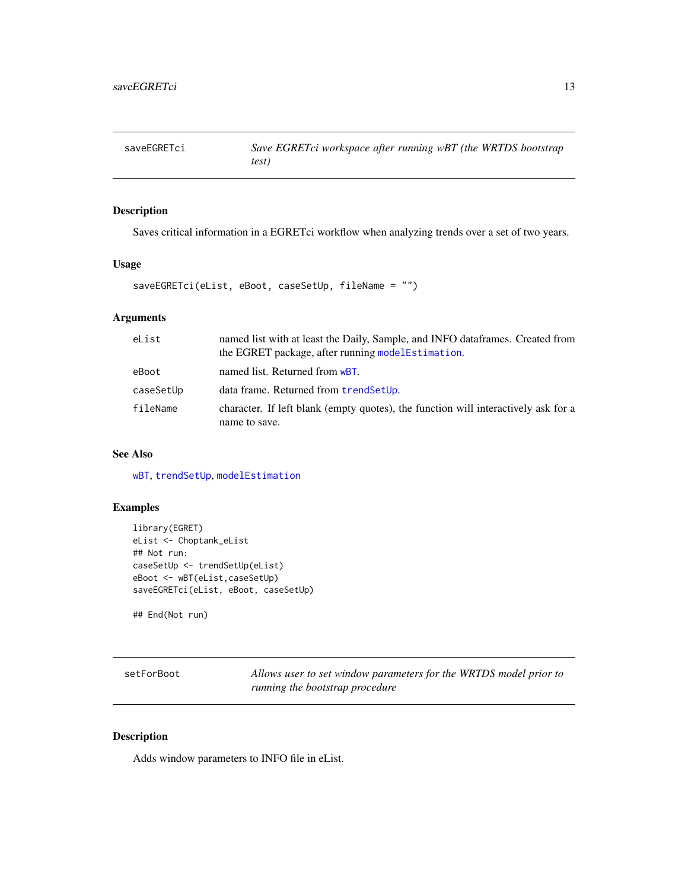<span id="page-12-0"></span>

# Description

Saves critical information in a EGRETci workflow when analyzing trends over a set of two years.

# Usage

```
saveEGRETci(eList, eBoot, caseSetUp, fileName = "")
```
# Arguments

| eList     | named list with at least the Daily, Sample, and INFO dataframes. Created from<br>the EGRET package, after running modelEstimation. |
|-----------|------------------------------------------------------------------------------------------------------------------------------------|
| eBoot     | named list. Returned from wBT.                                                                                                     |
| caseSetUp | data frame. Returned from trendSetUp.                                                                                              |
| fileName  | character. If left blank (empty quotes), the function will interactively ask for a<br>name to save.                                |

#### See Also

[wBT](#page-14-1), [trendSetUp](#page-13-1), [modelEstimation](#page-0-0)

# Examples

```
library(EGRET)
eList <- Choptank_eList
## Not run:
caseSetUp <- trendSetUp(eList)
eBoot <- wBT(eList,caseSetUp)
saveEGRETci(eList, eBoot, caseSetUp)
```
## End(Not run)

<span id="page-12-1"></span>setForBoot *Allows user to set window parameters for the WRTDS model prior to running the bootstrap procedure*

# Description

Adds window parameters to INFO file in eList.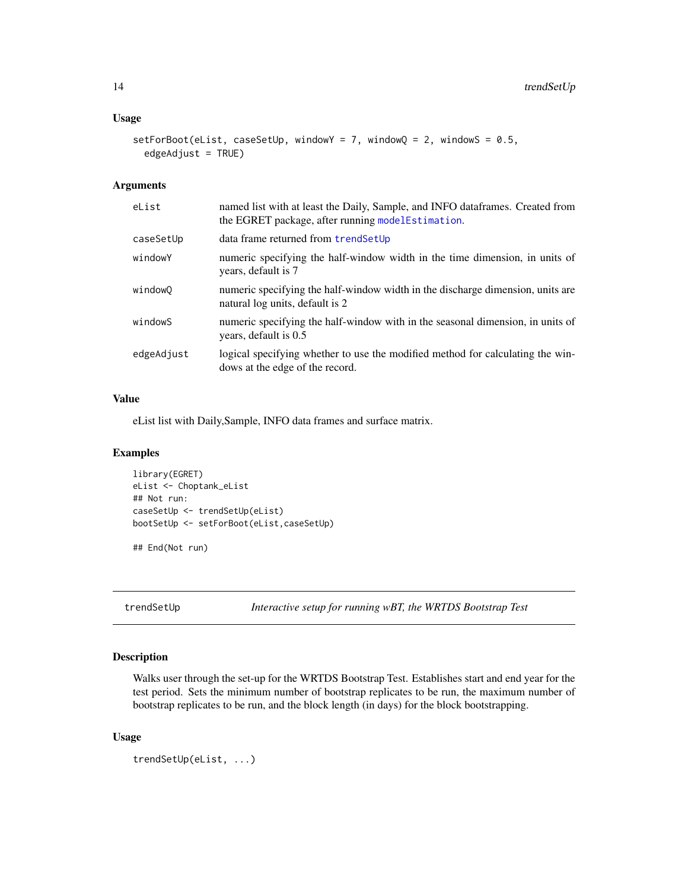# <span id="page-13-0"></span>Usage

```
setForBoot(eList, caseSetUp, windowY = 7, windowQ = 2, windowS = 0.5,
 edgeAdjust = TRUE)
```
# Arguments

| eList      | named list with at least the Daily, Sample, and INFO dataframes. Created from<br>the EGRET package, after running model Estimation. |
|------------|-------------------------------------------------------------------------------------------------------------------------------------|
| caseSetUp  | data frame returned from trendSetUp                                                                                                 |
| windowY    | numeric specifying the half-window width in the time dimension, in units of<br>years, default is 7                                  |
| windowQ    | numeric specifying the half-window width in the discharge dimension, units are<br>natural log units, default is 2                   |
| windowS    | numeric specifying the half-window with in the seasonal dimension, in units of<br>years, default is 0.5                             |
| edgeAdjust | logical specifying whether to use the modified method for calculating the win-<br>dows at the edge of the record.                   |

### Value

eList list with Daily,Sample, INFO data frames and surface matrix.

#### Examples

```
library(EGRET)
eList <- Choptank_eList
## Not run:
caseSetUp <- trendSetUp(eList)
bootSetUp <- setForBoot(eList,caseSetUp)
```
## End(Not run)

<span id="page-13-1"></span>trendSetUp *Interactive setup for running wBT, the WRTDS Bootstrap Test*

### Description

Walks user through the set-up for the WRTDS Bootstrap Test. Establishes start and end year for the test period. Sets the minimum number of bootstrap replicates to be run, the maximum number of bootstrap replicates to be run, and the block length (in days) for the block bootstrapping.

# Usage

```
trendSetUp(eList, ...)
```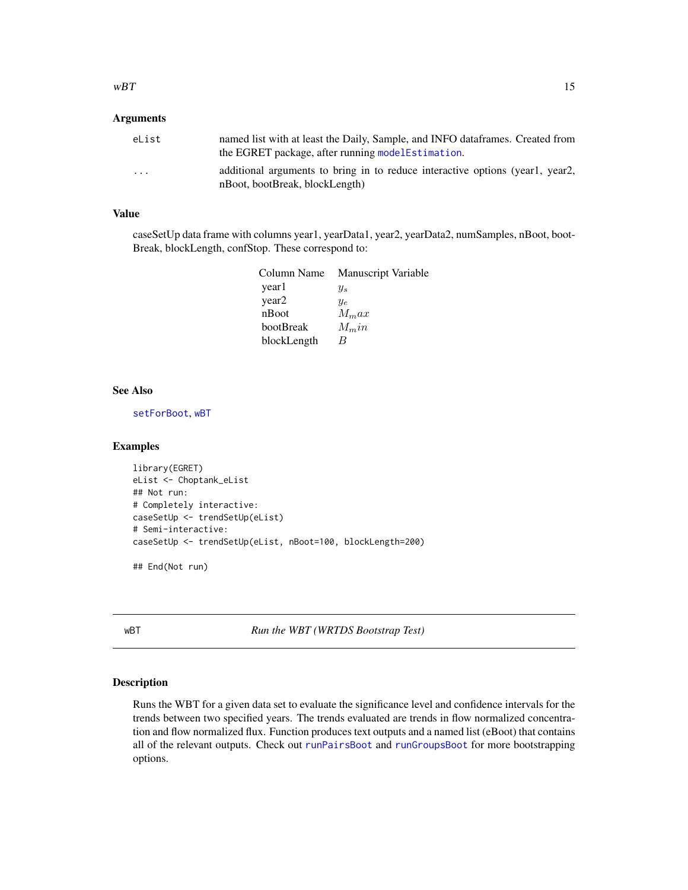#### <span id="page-14-0"></span> $wBT$  15

### Arguments

| eList    | named list with at least the Daily, Sample, and INFO data frames. Created from<br>the EGRET package, after running model Estimation. |
|----------|--------------------------------------------------------------------------------------------------------------------------------------|
| $\cdots$ | additional arguments to bring in to reduce interactive options (year1, year2,<br>nBoot, bootBreak, blockLength)                      |

#### Value

caseSetUp data frame with columns year1, yearData1, year2, yearData2, numSamples, nBoot, boot-Break, blockLength, confStop. These correspond to:

|             | Column Name Manuscript Variable |
|-------------|---------------------------------|
| year1       | $y_s$                           |
| year2       | $y_{e}$                         |
| nBoot       | $M_{m}ax$                       |
| bootBreak   | $M_{\rm m}$ in                  |
| blockLength | R                               |

# See Also

[setForBoot](#page-12-1), [wBT](#page-14-1)

#### Examples

```
library(EGRET)
eList <- Choptank_eList
## Not run:
# Completely interactive:
caseSetUp <- trendSetUp(eList)
# Semi-interactive:
caseSetUp <- trendSetUp(eList, nBoot=100, blockLength=200)
## End(Not run)
```
<span id="page-14-1"></span>wBT *Run the WBT (WRTDS Bootstrap Test)*

#### Description

Runs the WBT for a given data set to evaluate the significance level and confidence intervals for the trends between two specified years. The trends evaluated are trends in flow normalized concentration and flow normalized flux. Function produces text outputs and a named list (eBoot) that contains all of the relevant outputs. Check out [runPairsBoot](#page-10-1) and [runGroupsBoot](#page-9-1) for more bootstrapping options.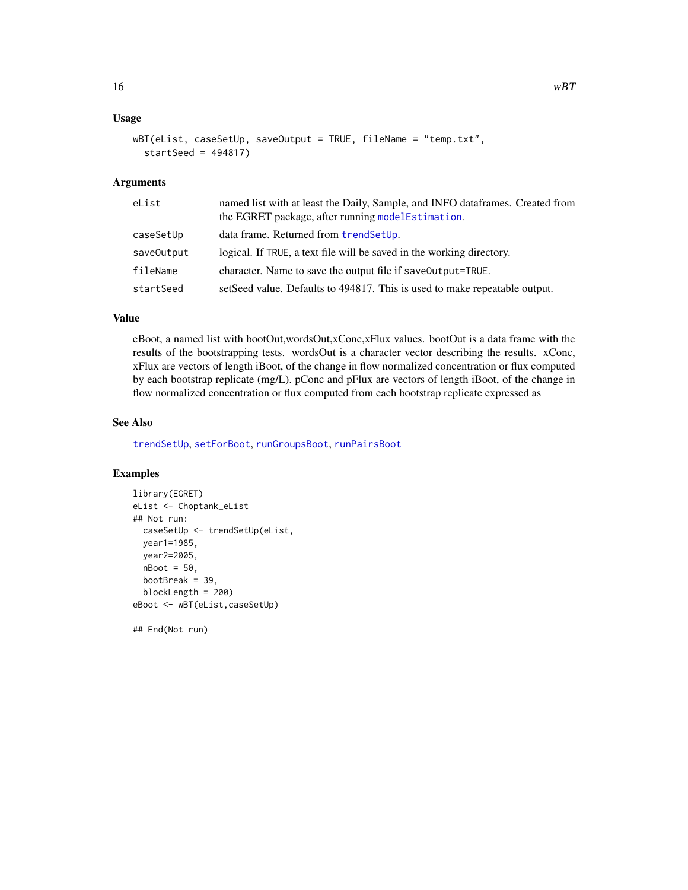# <span id="page-15-0"></span>Usage

```
wBT(eList, caseSetUp, saveOutput = TRUE, fileName = "temp.txt",
  startSeed = 494817)
```
#### Arguments

| eList      | named list with at least the Daily, Sample, and INFO dataframes. Created from<br>the EGRET package, after running modelEstimation. |
|------------|------------------------------------------------------------------------------------------------------------------------------------|
| caseSetUp  | data frame. Returned from trendSetUp.                                                                                              |
| saveOutput | logical. If TRUE, a text file will be saved in the working directory.                                                              |
| fileName   | character. Name to save the output file if save Output=TRUE.                                                                       |
| startSeed  | setSeed value. Defaults to 494817. This is used to make repeatable output.                                                         |

# Value

eBoot, a named list with bootOut,wordsOut,xConc,xFlux values. bootOut is a data frame with the results of the bootstrapping tests. wordsOut is a character vector describing the results. xConc, xFlux are vectors of length iBoot, of the change in flow normalized concentration or flux computed by each bootstrap replicate (mg/L). pConc and pFlux are vectors of length iBoot, of the change in flow normalized concentration or flux computed from each bootstrap replicate expressed as

### See Also

[trendSetUp](#page-13-1), [setForBoot](#page-12-1), [runGroupsBoot](#page-9-1), [runPairsBoot](#page-10-1)

#### Examples

```
library(EGRET)
eList <- Choptank_eList
## Not run:
  caseSetUp <- trendSetUp(eList,
 year1=1985,
  year2=2005,
 nBoot = 50,
  bootBreak = 39,
  blockLength = 200)
eBoot <- wBT(eList,caseSetUp)
```
## End(Not run)